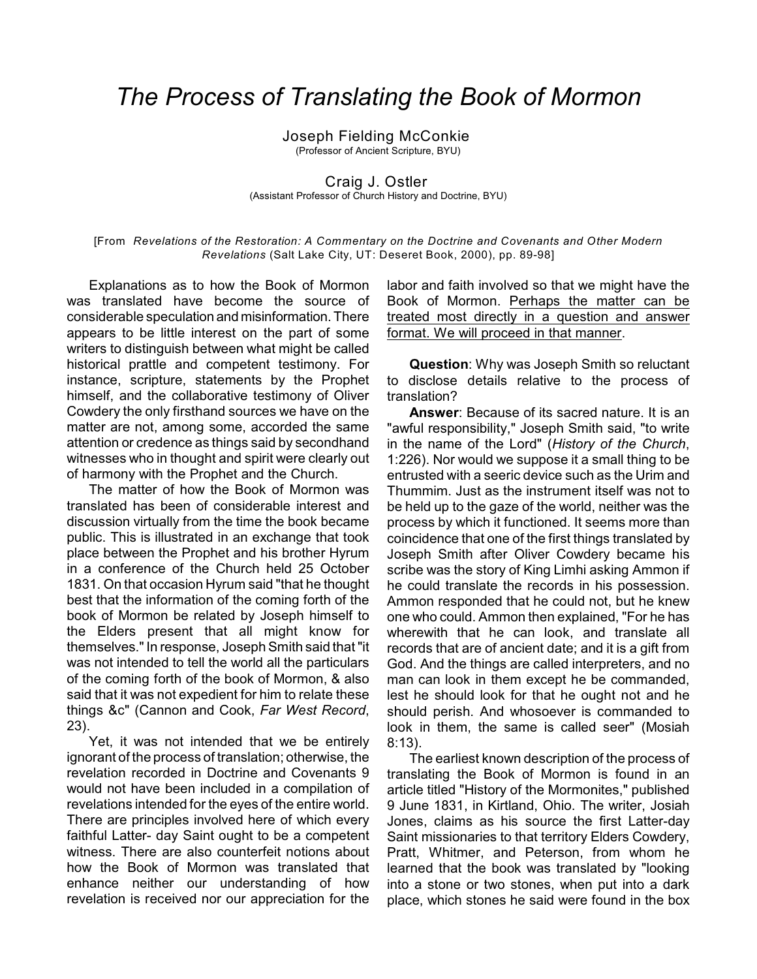## *The Process of Translating the Book of Mormon*

Joseph Fielding McConkie (Professor of Ancient Scripture, BYU)

Craig J. Ostler (Assistant Professor of Church History and Doctrine, BYU)

[From *Revelations of the Restoration: A Commentary on the Doctrine and Covenants and Other Modern Revelations* (Salt Lake City, UT: Deseret Book, 2000), pp. 89-98]

Explanations as to how the Book of Mormon was translated have become the source of considerable speculation and misinformation. There appears to be little interest on the part of some writers to distinguish between what might be called historical prattle and competent testimony. For instance, scripture, statements by the Prophet himself, and the collaborative testimony of Oliver Cowdery the only firsthand sources we have on the matter are not, among some, accorded the same attention or credence as things said by secondhand witnesses who in thought and spirit were clearly out of harmony with the Prophet and the Church.

The matter of how the Book of Mormon was translated has been of considerable interest and discussion virtually from the time the book became public. This is illustrated in an exchange that took place between the Prophet and his brother Hyrum in a conference of the Church held 25 October 1831. On that occasion Hyrum said "that he thought best that the information of the coming forth of the book of Mormon be related by Joseph himself to the Elders present that all might know for themselves." In response, Joseph Smith said that "it was not intended to tell the world all the particulars of the coming forth of the book of Mormon, & also said that it was not expedient for him to relate these things &c" (Cannon and Cook, *Far West Record*, 23).

Yet, it was not intended that we be entirely ignorant of the process of translation; otherwise, the revelation recorded in Doctrine and Covenants 9 would not have been included in a compilation of revelations intended for the eyes of the entire world. There are principles involved here of which every faithful Latter- day Saint ought to be a competent witness. There are also counterfeit notions about how the Book of Mormon was translated that enhance neither our understanding of how revelation is received nor our appreciation for the labor and faith involved so that we might have the Book of Mormon. Perhaps the matter can be treated most directly in a question and answer format. We will proceed in that manner.

**Question**: Why was Joseph Smith so reluctant to disclose details relative to the process of translation?

**Answer**: Because of its sacred nature. It is an "awful responsibility," Joseph Smith said, "to write in the name of the Lord" (*History of the Church*, 1:226). Nor would we suppose it a small thing to be entrusted with a seeric device such as the Urim and Thummim. Just as the instrument itself was not to be held up to the gaze of the world, neither was the process by which it functioned. It seems more than coincidence that one of the first things translated by Joseph Smith after Oliver Cowdery became his scribe was the story of King Limhi asking Ammon if he could translate the records in his possession. Ammon responded that he could not, but he knew one who could. Ammon then explained, "For he has wherewith that he can look, and translate all records that are of ancient date; and it is a gift from God. And the things are called interpreters, and no man can look in them except he be commanded, lest he should look for that he ought not and he should perish. And whosoever is commanded to look in them, the same is called seer" (Mosiah 8:13).

The earliest known description of the process of translating the Book of Mormon is found in an article titled "History of the Mormonites," published 9 June 1831, in Kirtland, Ohio. The writer, Josiah Jones, claims as his source the first Latter-day Saint missionaries to that territory Elders Cowdery, Pratt, Whitmer, and Peterson, from whom he learned that the book was translated by "looking into a stone or two stones, when put into a dark place, which stones he said were found in the box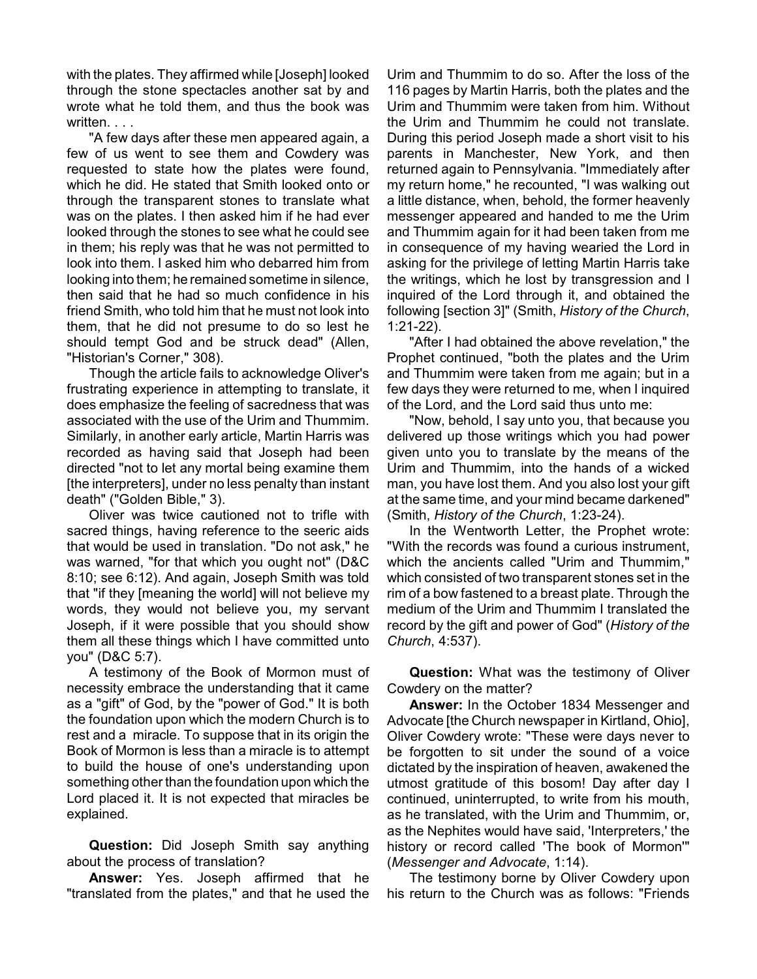with the plates. They affirmed while [Joseph] looked through the stone spectacles another sat by and wrote what he told them, and thus the book was written. . . .

"A few days after these men appeared again, a few of us went to see them and Cowdery was requested to state how the plates were found, which he did. He stated that Smith looked onto or through the transparent stones to translate what was on the plates. I then asked him if he had ever looked through the stones to see what he could see in them; his reply was that he was not permitted to look into them. I asked him who debarred him from looking into them; he remained sometime in silence, then said that he had so much confidence in his friend Smith, who told him that he must not look into them, that he did not presume to do so lest he should tempt God and be struck dead" (Allen, "Historian's Corner," 308).

Though the article fails to acknowledge Oliver's frustrating experience in attempting to translate, it does emphasize the feeling of sacredness that was associated with the use of the Urim and Thummim. Similarly, in another early article, Martin Harris was recorded as having said that Joseph had been directed "not to let any mortal being examine them [the interpreters], under no less penalty than instant death" ("Golden Bible," 3).

Oliver was twice cautioned not to trifle with sacred things, having reference to the seeric aids that would be used in translation. "Do not ask," he was warned, "for that which you ought not" (D&C 8:10; see 6:12). And again, Joseph Smith was told that "if they [meaning the world] will not believe my words, they would not believe you, my servant Joseph, if it were possible that you should show them all these things which I have committed unto you" (D&C 5:7).

A testimony of the Book of Mormon must of necessity embrace the understanding that it came as a "gift" of God, by the "power of God." It is both the foundation upon which the modern Church is to rest and a miracle. To suppose that in its origin the Book of Mormon is less than a miracle is to attempt to build the house of one's understanding upon something other than the foundation upon which the Lord placed it. It is not expected that miracles be explained.

**Question:** Did Joseph Smith say anything about the process of translation?

**Answer:** Yes. Joseph affirmed that he "translated from the plates," and that he used the Urim and Thummim to do so. After the loss of the 116 pages by Martin Harris, both the plates and the Urim and Thummim were taken from him. Without the Urim and Thummim he could not translate. During this period Joseph made a short visit to his parents in Manchester, New York, and then returned again to Pennsylvania. "Immediately after my return home," he recounted, "I was walking out a little distance, when, behold, the former heavenly messenger appeared and handed to me the Urim and Thummim again for it had been taken from me in consequence of my having wearied the Lord in asking for the privilege of letting Martin Harris take the writings, which he lost by transgression and I inquired of the Lord through it, and obtained the following [section 3]" (Smith, *History of the Church*, 1:21-22).

"After I had obtained the above revelation," the Prophet continued, "both the plates and the Urim and Thummim were taken from me again; but in a few days they were returned to me, when I inquired of the Lord, and the Lord said thus unto me:

"Now, behold, I say unto you, that because you delivered up those writings which you had power given unto you to translate by the means of the Urim and Thummim, into the hands of a wicked man, you have lost them. And you also lost your gift at the same time, and your mind became darkened" (Smith, *History of the Church*, 1:23-24).

In the Wentworth Letter, the Prophet wrote: "With the records was found a curious instrument, which the ancients called "Urim and Thummim," which consisted of two transparent stones set in the rim of a bow fastened to a breast plate. Through the medium of the Urim and Thummim I translated the record by the gift and power of God" (*History of the Church*, 4:537).

**Question:** What was the testimony of Oliver Cowdery on the matter?

**Answer:** In the October 1834 Messenger and Advocate [the Church newspaper in Kirtland, Ohio], Oliver Cowdery wrote: "These were days never to be forgotten to sit under the sound of a voice dictated by the inspiration of heaven, awakened the utmost gratitude of this bosom! Day after day I continued, uninterrupted, to write from his mouth, as he translated, with the Urim and Thummim, or, as the Nephites would have said, 'Interpreters,' the history or record called 'The book of Mormon'" (*Messenger and Advocate*, 1:14).

The testimony borne by Oliver Cowdery upon his return to the Church was as follows: "Friends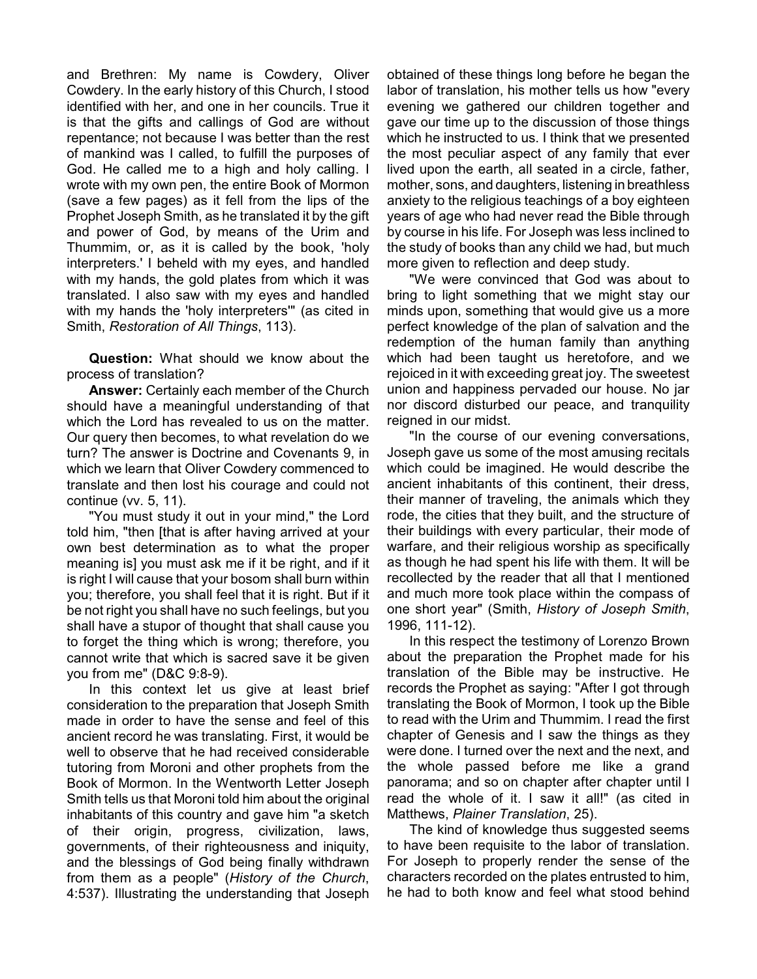and Brethren: My name is Cowdery, Oliver Cowdery. In the early history of this Church, I stood identified with her, and one in her councils. True it is that the gifts and callings of God are without repentance; not because I was better than the rest of mankind was I called, to fulfill the purposes of God. He called me to a high and holy calling. I wrote with my own pen, the entire Book of Mormon (save a few pages) as it fell from the lips of the Prophet Joseph Smith, as he translated it by the gift and power of God, by means of the Urim and Thummim, or, as it is called by the book, 'holy interpreters.' I beheld with my eyes, and handled with my hands, the gold plates from which it was translated. I also saw with my eyes and handled with my hands the 'holy interpreters'" (as cited in Smith, *Restoration of All Things*, 113).

**Question:** What should we know about the process of translation?

**Answer:** Certainly each member of the Church should have a meaningful understanding of that which the Lord has revealed to us on the matter. Our query then becomes, to what revelation do we turn? The answer is Doctrine and Covenants 9, in which we learn that Oliver Cowdery commenced to translate and then lost his courage and could not continue (vv. 5, 11).

"You must study it out in your mind," the Lord told him, "then [that is after having arrived at your own best determination as to what the proper meaning is] you must ask me if it be right, and if it is right I will cause that your bosom shall burn within you; therefore, you shall feel that it is right. But if it be not right you shall have no such feelings, but you shall have a stupor of thought that shall cause you to forget the thing which is wrong; therefore, you cannot write that which is sacred save it be given you from me" (D&C 9:8-9).

In this context let us give at least brief consideration to the preparation that Joseph Smith made in order to have the sense and feel of this ancient record he was translating. First, it would be well to observe that he had received considerable tutoring from Moroni and other prophets from the Book of Mormon. In the Wentworth Letter Joseph Smith tells us that Moroni told him about the original inhabitants of this country and gave him "a sketch of their origin, progress, civilization, laws, governments, of their righteousness and iniquity, and the blessings of God being finally withdrawn from them as a people" (*History of the Church*, 4:537). Illustrating the understanding that Joseph

obtained of these things long before he began the labor of translation, his mother tells us how "every evening we gathered our children together and gave our time up to the discussion of those things which he instructed to us. I think that we presented the most peculiar aspect of any family that ever lived upon the earth, all seated in a circle, father, mother, sons, and daughters, listening in breathless anxiety to the religious teachings of a boy eighteen years of age who had never read the Bible through by course in his life. For Joseph was less inclined to the study of books than any child we had, but much more given to reflection and deep study.

"We were convinced that God was about to bring to light something that we might stay our minds upon, something that would give us a more perfect knowledge of the plan of salvation and the redemption of the human family than anything which had been taught us heretofore, and we rejoiced in it with exceeding great joy. The sweetest union and happiness pervaded our house. No jar nor discord disturbed our peace, and tranquility reigned in our midst.

"In the course of our evening conversations, Joseph gave us some of the most amusing recitals which could be imagined. He would describe the ancient inhabitants of this continent, their dress, their manner of traveling, the animals which they rode, the cities that they built, and the structure of their buildings with every particular, their mode of warfare, and their religious worship as specifically as though he had spent his life with them. It will be recollected by the reader that all that I mentioned and much more took place within the compass of one short year" (Smith, *History of Joseph Smith*, 1996, 111-12).

In this respect the testimony of Lorenzo Brown about the preparation the Prophet made for his translation of the Bible may be instructive. He records the Prophet as saying: "After I got through translating the Book of Mormon, I took up the Bible to read with the Urim and Thummim. I read the first chapter of Genesis and I saw the things as they were done. I turned over the next and the next, and the whole passed before me like a grand panorama; and so on chapter after chapter until I read the whole of it. I saw it all!" (as cited in Matthews, *Plainer Translation*, 25).

The kind of knowledge thus suggested seems to have been requisite to the labor of translation. For Joseph to properly render the sense of the characters recorded on the plates entrusted to him, he had to both know and feel what stood behind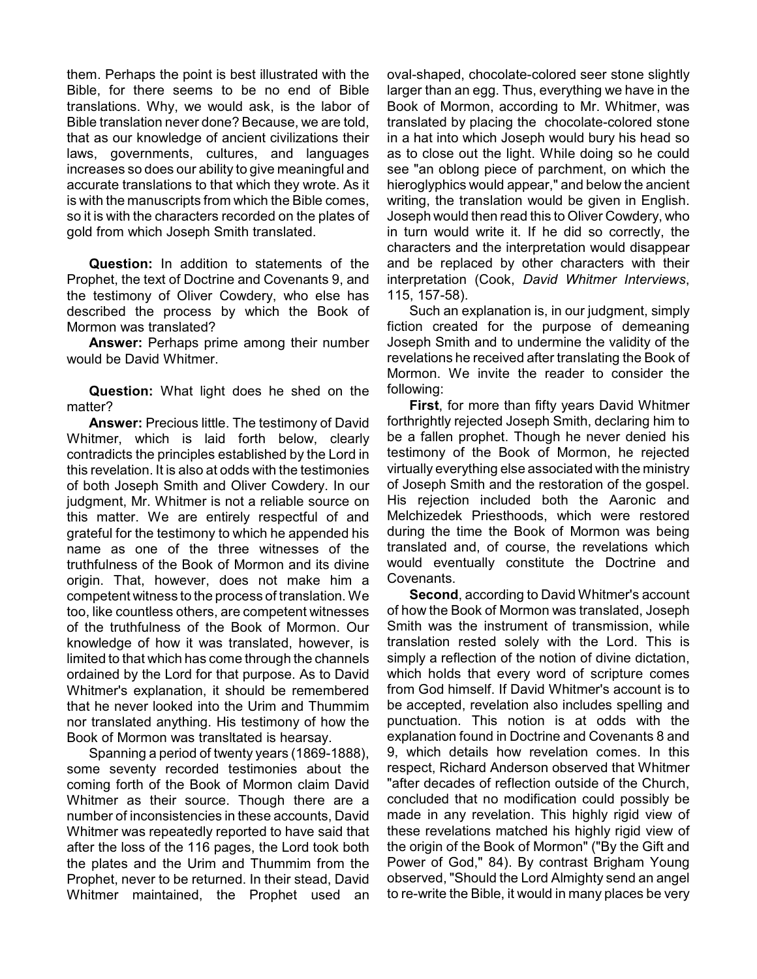them. Perhaps the point is best illustrated with the Bible, for there seems to be no end of Bible translations. Why, we would ask, is the labor of Bible translation never done? Because, we are told, that as our knowledge of ancient civilizations their laws, governments, cultures, and languages increases so does our ability to give meaningful and accurate translations to that which they wrote. As it is with the manuscripts from which the Bible comes, so it is with the characters recorded on the plates of gold from which Joseph Smith translated.

**Question:** In addition to statements of the Prophet, the text of Doctrine and Covenants 9, and the testimony of Oliver Cowdery, who else has described the process by which the Book of Mormon was translated?

**Answer:** Perhaps prime among their number would be David Whitmer.

**Question:** What light does he shed on the matter?

**Answer:** Precious little. The testimony of David Whitmer, which is laid forth below, clearly contradicts the principles established by the Lord in this revelation. It is also at odds with the testimonies of both Joseph Smith and Oliver Cowdery. In our judgment, Mr. Whitmer is not a reliable source on this matter. We are entirely respectful of and grateful for the testimony to which he appended his name as one of the three witnesses of the truthfulness of the Book of Mormon and its divine origin. That, however, does not make him a competent witness to the process of translation. We too, like countless others, are competent witnesses of the truthfulness of the Book of Mormon. Our knowledge of how it was translated, however, is limited to that which has come through the channels ordained by the Lord for that purpose. As to David Whitmer's explanation, it should be remembered that he never looked into the Urim and Thummim nor translated anything. His testimony of how the Book of Mormon was transltated is hearsay.

Spanning a period of twenty years (1869-1888), some seventy recorded testimonies about the coming forth of the Book of Mormon claim David Whitmer as their source. Though there are a number of inconsistencies in these accounts, David Whitmer was repeatedly reported to have said that after the loss of the 116 pages, the Lord took both the plates and the Urim and Thummim from the Prophet, never to be returned. In their stead, David Whitmer maintained, the Prophet used an oval-shaped, chocolate-colored seer stone slightly larger than an egg. Thus, everything we have in the Book of Mormon, according to Mr. Whitmer, was translated by placing the chocolate-colored stone in a hat into which Joseph would bury his head so as to close out the light. While doing so he could see "an oblong piece of parchment, on which the hieroglyphics would appear," and below the ancient writing, the translation would be given in English. Joseph would then read this to Oliver Cowdery, who in turn would write it. If he did so correctly, the characters and the interpretation would disappear and be replaced by other characters with their interpretation (Cook, *David Whitmer Interviews*, 115, 157-58).

Such an explanation is, in our judgment, simply fiction created for the purpose of demeaning Joseph Smith and to undermine the validity of the revelations he received after translating the Book of Mormon. We invite the reader to consider the following:

**First**, for more than fifty years David Whitmer forthrightly rejected Joseph Smith, declaring him to be a fallen prophet. Though he never denied his testimony of the Book of Mormon, he rejected virtually everything else associated with the ministry of Joseph Smith and the restoration of the gospel. His rejection included both the Aaronic and Melchizedek Priesthoods, which were restored during the time the Book of Mormon was being translated and, of course, the revelations which would eventually constitute the Doctrine and Covenants.

**Second**, according to David Whitmer's account of how the Book of Mormon was translated, Joseph Smith was the instrument of transmission, while translation rested solely with the Lord. This is simply a reflection of the notion of divine dictation, which holds that every word of scripture comes from God himself. If David Whitmer's account is to be accepted, revelation also includes spelling and punctuation. This notion is at odds with the explanation found in Doctrine and Covenants 8 and 9, which details how revelation comes. In this respect, Richard Anderson observed that Whitmer "after decades of reflection outside of the Church, concluded that no modification could possibly be made in any revelation. This highly rigid view of these revelations matched his highly rigid view of the origin of the Book of Mormon" ("By the Gift and Power of God," 84). By contrast Brigham Young observed, "Should the Lord Almighty send an angel to re-write the Bible, it would in many places be very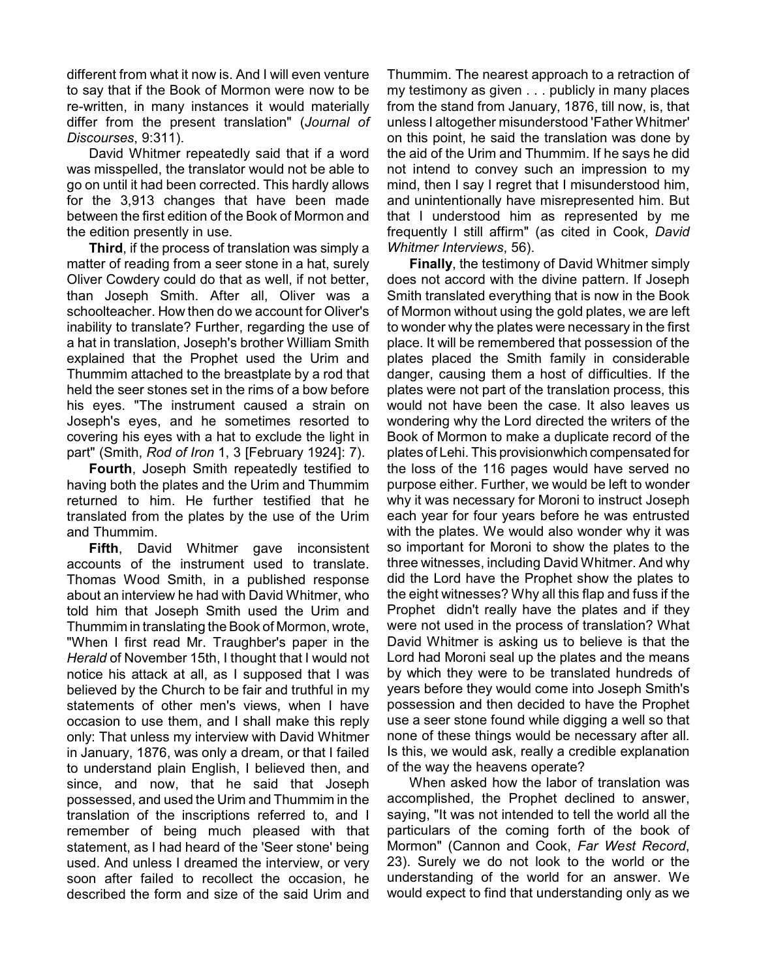different from what it now is. And I will even venture to say that if the Book of Mormon were now to be re-written, in many instances it would materially differ from the present translation" (*Journal of Discourses*, 9:311).

David Whitmer repeatedly said that if a word was misspelled, the translator would not be able to go on until it had been corrected. This hardly allows for the 3,913 changes that have been made between the first edition of the Book of Mormon and the edition presently in use.

**Third**, if the process of translation was simply a matter of reading from a seer stone in a hat, surely Oliver Cowdery could do that as well, if not better, than Joseph Smith. After all, Oliver was a schoolteacher. How then do we account for Oliver's inability to translate? Further, regarding the use of a hat in translation, Joseph's brother William Smith explained that the Prophet used the Urim and Thummim attached to the breastplate by a rod that held the seer stones set in the rims of a bow before his eyes. "The instrument caused a strain on Joseph's eyes, and he sometimes resorted to covering his eyes with a hat to exclude the light in part" (Smith, *Rod of Iron* 1, 3 [February 1924]: 7).

**Fourth**, Joseph Smith repeatedly testified to having both the plates and the Urim and Thummim returned to him. He further testified that he translated from the plates by the use of the Urim and Thummim.

**Fifth**, David Whitmer gave inconsistent accounts of the instrument used to translate. Thomas Wood Smith, in a published response about an interview he had with David Whitmer, who told him that Joseph Smith used the Urim and Thummim in translating the Book of Mormon, wrote, "When I first read Mr. Traughber's paper in the *Herald* of November 15th, I thought that I would not notice his attack at all, as I supposed that I was believed by the Church to be fair and truthful in my statements of other men's views, when I have occasion to use them, and I shall make this reply only: That unless my interview with David Whitmer in January, 1876, was only a dream, or that I failed to understand plain English, I believed then, and since, and now, that he said that Joseph possessed, and used the Urim and Thummim in the translation of the inscriptions referred to, and I remember of being much pleased with that statement, as I had heard of the 'Seer stone' being used. And unless I dreamed the interview, or very soon after failed to recollect the occasion, he described the form and size of the said Urim and

Thummim. The nearest approach to a retraction of my testimony as given . . . publicly in many places from the stand from January, 1876, till now, is, that unless I altogether misunderstood 'Father Whitmer' on this point, he said the translation was done by the aid of the Urim and Thummim. If he says he did not intend to convey such an impression to my mind, then I say I regret that I misunderstood him, and unintentionally have misrepresented him. But that I understood him as represented by me frequently I still affirm" (as cited in Cook, *David Whitmer Interviews*, 56).

**Finally**, the testimony of David Whitmer simply does not accord with the divine pattern. If Joseph Smith translated everything that is now in the Book of Mormon without using the gold plates, we are left to wonder why the plates were necessary in the first place. It will be remembered that possession of the plates placed the Smith family in considerable danger, causing them a host of difficulties. If the plates were not part of the translation process, this would not have been the case. It also leaves us wondering why the Lord directed the writers of the Book of Mormon to make a duplicate record of the plates of Lehi. This provisionwhich compensated for the loss of the 116 pages would have served no purpose either. Further, we would be left to wonder why it was necessary for Moroni to instruct Joseph each year for four years before he was entrusted with the plates. We would also wonder why it was so important for Moroni to show the plates to the three witnesses, including David Whitmer. And why did the Lord have the Prophet show the plates to the eight witnesses? Why all this flap and fuss if the Prophet didn't really have the plates and if they were not used in the process of translation? What David Whitmer is asking us to believe is that the Lord had Moroni seal up the plates and the means by which they were to be translated hundreds of years before they would come into Joseph Smith's possession and then decided to have the Prophet use a seer stone found while digging a well so that none of these things would be necessary after all. Is this, we would ask, really a credible explanation of the way the heavens operate?

When asked how the labor of translation was accomplished, the Prophet declined to answer, saying, "It was not intended to tell the world all the particulars of the coming forth of the book of Mormon" (Cannon and Cook, *Far West Record*, 23). Surely we do not look to the world or the understanding of the world for an answer. We would expect to find that understanding only as we